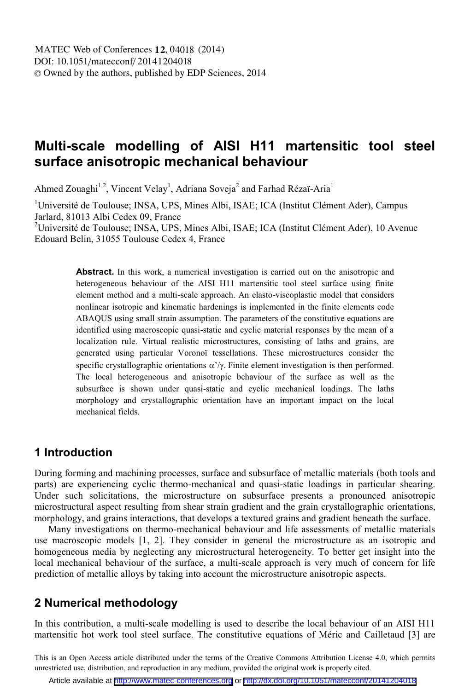# **Multi-scale modelling of AISI H11 martensitic tool steel surface anisotropic mechanical behaviour**

Ahmed Zouaghi<sup>1,2</sup>, Vincent Velay<sup>1</sup>, Adriana Soveja<sup>2</sup> and Farhad Rézaï-Aria<sup>1</sup>

<sup>1</sup>Université de Toulouse; INSA, UPS, Mines Albi, ISAE; ICA (Institut Clément Ader), Campus Jarlard, 81013 Albi Cedex 09, France

<sup>2</sup>Université de Toulouse; INSA, UPS, Mines Albi, ISAE; ICA (Institut Clément Ader), 10 Avenue Edouard Belin, 31055 Toulouse Cedex 4, France

> **Abstract.** In this work, a numerical investigation is carried out on the anisotropic and heterogeneous behaviour of the AISI H11 martensitic tool steel surface using finite element method and a multi-scale approach. An elasto-viscoplastic model that considers nonlinear isotropic and kinematic hardenings is implemented in the finite elements code ABAQUS using small strain assumption. The parameters of the constitutive equations are identified using macroscopic quasi-static and cyclic material responses by the mean of a localization rule. Virtual realistic microstructures, consisting of laths and grains, are generated using particular Voronoï tessellations. These microstructures consider the specific crystallographic orientations  $\alpha'/\gamma$ . Finite element investigation is then performed. The local heterogeneous and anisotropic behaviour of the surface as well as the subsurface is shown under quasi-static and cyclic mechanical loadings. The laths morphology and crystallographic orientation have an important impact on the local mechanical fields.

#### **1 Introduction**

During forming and machining processes, surface and subsurface of metallic materials (both tools and parts) are experiencing cyclic thermo-mechanical and quasi-static loadings in particular shearing. Under such solicitations, the microstructure on subsurface presents a pronounced anisotropic microstructural aspect resulting from shear strain gradient and the grain crystallographic orientations, morphology, and grains interactions, that develops a textured grains and gradient beneath the surface.

Many investigations on thermo-mechanical behaviour and life assessments of metallic materials use macroscopic models [1, 2]. They consider in general the microstructure as an isotropic and homogeneous media by neglecting any microstructural heterogeneity. To better get insight into the local mechanical behaviour of the surface, a multi-scale approach is very much of concern for life prediction of metallic alloys by taking into account the microstructure anisotropic aspects.

## **2 Numerical methodology**

In this contribution, a multi-scale modelling is used to describe the local behaviour of an AISI H11 martensitic hot work tool steel surface. The constitutive equations of Méric and Cailletaud [3] are

This is an Open Access article distributed under the terms of the Creative Commons Attribution License 4.0, which permits unrestricted use, distribution, and reproduction in any medium, provided the original work is properly cited.

Article available at <http://www.matec-conferences.org> or <http://dx.doi.org/10.1051/matecconf/20141204018>